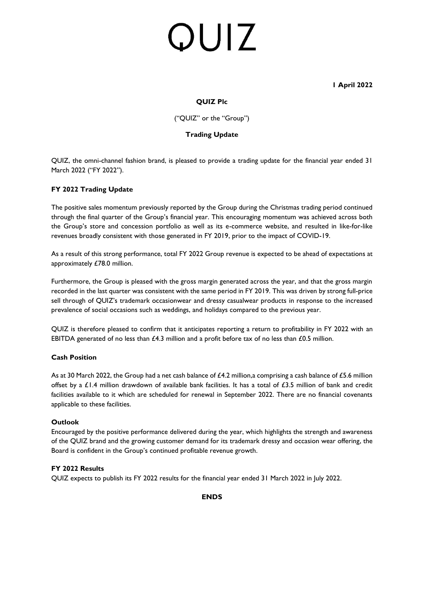# QUIZ

 **1 April 2022**

# **QUIZ Plc**

("QUIZ" or the "Group")

## **Trading Update**

QUIZ, the omni-channel fashion brand, is pleased to provide a trading update for the financial year ended 31 March 2022 ("FY 2022").

## **FY 2022 Trading Update**

The positive sales momentum previously reported by the Group during the Christmas trading period continued through the final quarter of the Group's financial year. This encouraging momentum was achieved across both the Group's store and concession portfolio as well as its e-commerce website, and resulted in like-for-like revenues broadly consistent with those generated in FY 2019, prior to the impact of COVID-19.

As a result of this strong performance, total FY 2022 Group revenue is expected to be ahead of expectations at approximately £78.0 million.

Furthermore, the Group is pleased with the gross margin generated across the year, and that the gross margin recorded in the last quarter was consistent with the same period in FY 2019. This was driven by strong full-price sell through of QUIZ's trademark occasionwear and dressy casualwear products in response to the increased prevalence of social occasions such as weddings, and holidays compared to the previous year.

QUIZ is therefore pleased to confirm that it anticipates reporting a return to profitability in FY 2022 with an EBITDA generated of no less than £4.3 million and a profit before tax of no less than £0.5 million.

### **Cash Position**

As at 30 March 2022, the Group had a net cash balance of £4.2 million, a comprising a cash balance of £5.6 million offset by a £1.4 million drawdown of available bank facilities. It has a total of £3.5 million of bank and credit facilities available to it which are scheduled for renewal in September 2022. There are no financial covenants applicable to these facilities.

### **Outlook**

Encouraged by the positive performance delivered during the year, which highlights the strength and awareness of the QUIZ brand and the growing customer demand for its trademark dressy and occasion wear offering, the Board is confident in the Group's continued profitable revenue growth.

### **FY 2022 Results**

QUIZ expects to publish its FY 2022 results for the financial year ended 31 March 2022 in July 2022.

### **ENDS**